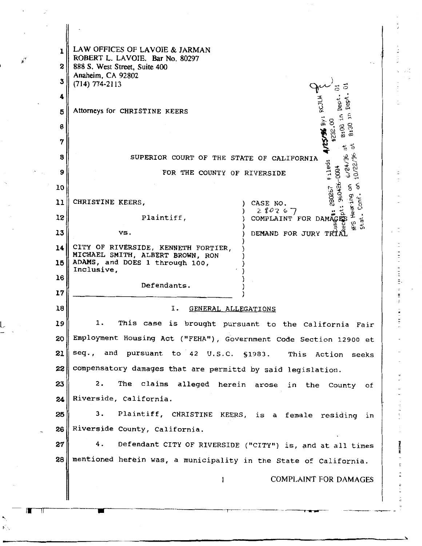| ı<br>2 | LAW OFFICES OF LAVOIE & JARMAN<br>ROBERT L. LAVOIE. Bar No. 80297<br>888 S. West Street, Suite 400 |
|--------|----------------------------------------------------------------------------------------------------|
|        | Anaheim, CA 92802                                                                                  |
| 3      | $(714) 774 - 2113$                                                                                 |
| 4      | ri<br>B                                                                                            |
| 5      | Attorneys for CHRISTINE KEERS<br>S                                                                 |
| 6      | 5/95 BY:<br>3<br>ို<br>e.<br>00                                                                    |
| 7      | œ<br>旨                                                                                             |
| 8      | ٢,<br>ዱ<br>SUPERIOR COURT OF THE STATE OF CALIFORNIA                                               |
| 9      | Fileo:<br>à<br>$-0004$<br>FOR THE COUNTY OF RIVERSIDE<br>G                                         |
| 10     | g                                                                                                  |
| 11     | 280267<br>Cont<br>CHRISTINE KEERS,<br>CASE NO.                                                     |
| 12     | Rutiveak Sith<br>280267<br>COMPLAINT FOR DAMAGE<br>Plaintiff,<br>St. at.                           |
| 13     | VS.<br>DEMAND FOR JURY TRI                                                                         |
| 14     | CITY OF RIVERSIDE, KENNETH FORTIER,                                                                |
| 15     | MICHAEL SMITH, ALBERT BROWN, RON<br>ADAMS, and DOES 1 through 100,                                 |
| 16     | Inclusive,                                                                                         |
| 17     | Defendants.                                                                                        |
| 18     | Ι.<br>GENERAL ALLEGATIONS                                                                          |
| 19     | 1.<br>This<br>case<br>is<br>brought pursuant to the California Fair                                |
| 20     | Employment Housing Act ("FEHA"), Government Code Section 12900 et                                  |
| 21     | seq., and pursuant to 42 U.S.C. §1983.<br>This Action seeks                                        |
| 22     | compensatory damages that are permittd by said legislation.                                        |
| 23     | 2.<br>The claims alleged herein arose in the County of                                             |
| 24     | Riverside, California.                                                                             |
| 25     | Plaintiff, CHRISTINE KEERS, is a female residing<br>3.<br>in                                       |
| 26     | Riverside County, California.                                                                      |
| 27     | 4.<br>Defendant CITY OF RIVERSIDE ("CITY") is, and at all times                                    |
| 28     | mentioned herein was, a municipality in the State of California.                                   |
|        | <b>COMPLAINT FOR DAMAGES</b><br>1                                                                  |
|        |                                                                                                    |
|        |                                                                                                    |
|        |                                                                                                    |

 $\frac{1}{\epsilon}$ 

 $\frac{1}{2}$ 

 $\frac{1}{2}$ 

contractor of the same state of the contractor of the contractor of the contractor of the contractor of the contractor of the contractor of the contractor of the contractor of the contractor of the contractor of the contra

 $\frac{1}{2}$ 

コロコン

**STATES IS NOT THE REAL PROPERTY** 

.<br>وي

 $\frac{1}{\alpha}$ 

 $-$ III II

 $\mathbf{s}_{\infty}^{\mathbf{c}}$ 

 $\ddot{\phantom{0}}$ 

 $\mathbf{y}^{\gamma}$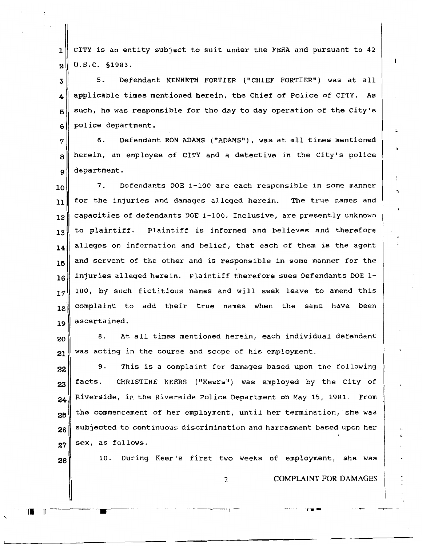1 2 CITY is an entity subject to suit under the FEHA and pursuant to 42 u.s.c. §1983.

3 4 5 6 5. Defendant KENNETH FORTIER ("CHIEF FORTIER") was at all applicable times mentioned herein, the Chief of Police of CITY. As such, he was responsible for the day to day operation of the City's police department.

7 8 9 6. Defendant RON ADAMS ("ADAMS") , was at all times mentioned herein, an employee of CITY and a detective in the City's police department.

10 11 12 13 14 15 16 17 18 19 7. Defendants DOE 1-100 are each responsible in some manner for the injuries and damages alleged herein. The true names and capacities of defendants DOE 1-100, Inclusive, are presently unknown to plaintiff. Plaintiff is informed and believes and therefore alleges on information and belief, that each of them is the agent and servent of the other and is responsible in some manner for the injuries alleged herein. Plaintiff therefore sues Defendants DOE 1- 100, by such fictitious names and will seek leave to amend this complaint to add their true names when the same have been ascertained.

20 21 8. At all times mentioned herein, each individual defendant was acting in the course and scope of his employment.

22 23 24 25 26 27 9. This is a complaint for damages based upon the following facts. CHRISTINE KEERS ( "Keers") was employed by the City of Riverside, in the Riverside Police Department on May 15, 1981. From the commencement of her employment, until her termination, she was subjected to continuous discrimination and harrasment based upon her sex, as follows.

28

---rl II

10. During Keer's first two weeks of employment, she was

2 COMPLAINT FOR DAMAGES

•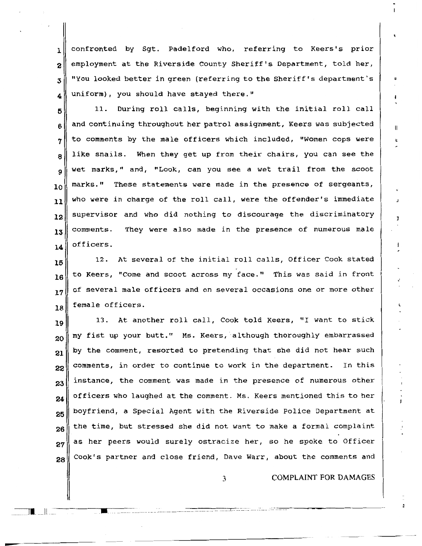$1$  confronted by Sgt. Padelford who, referring to Keers's prior  $2\parallel$  employment at the Riverside County Sheriff's Department, told her,  $\mathbf{3}$  "You looked better in green (referring to the Sheriff's department's 4 uniform), you should have stayed there."

5 6 7 8 9 10 11 12 13 14 11. During roll calls, beginning with the initial roll call and continuing throughout her patrol assignment, Keers was subjected to comments by the male officers which included, "Women cops were like snails. When they get up from their chairs, you can see the wet marks," *and,* "Look, can you see a wet trail from the scoot marks." These statements were made in the presence of sergeants, who were in charge of the roll call, were the offender's immediate supervisor and who did nothing to discourage the discriminatory comments. They were also made in the presence of numerous male officers.

15 16 17 18 12. At several of the initial roll calls, Officer Cook stated· to *Keers,* "Come and scoot across my face." This was said in front of several male officers and on several occasions one or more other female officers.

19 20 21 22 23 24 25 26 27 13. At another roll call, Cook told Keers, "I want to stick my fist up your butt." Ms. Keers, although thoroughly embarrassed by the comment, resorted to pretending that she did not hear such comments, in order to continue to work in the department. In this instance, the comment was made in the presence of numerous other officers who laughed at the comment. Ms. Keers mentioned this to her boyfriend, a Special Agent with the Riverside Police Department at the time, but stressed she did not want to make a formal complaint as her peers would surely ostracize her, so he spoke to Officer  $28$  Cook's partner and close friend, Dave Warr, about the comments and

3 COMPLAINT FOR DAMAGES

•'

I

-·-·- ·····-- -· .. ·--···· ·--··-··-·····--······ .. ~···--·-·--·-·-

 $\blacksquare$ 

~------------------

 $\blacksquare$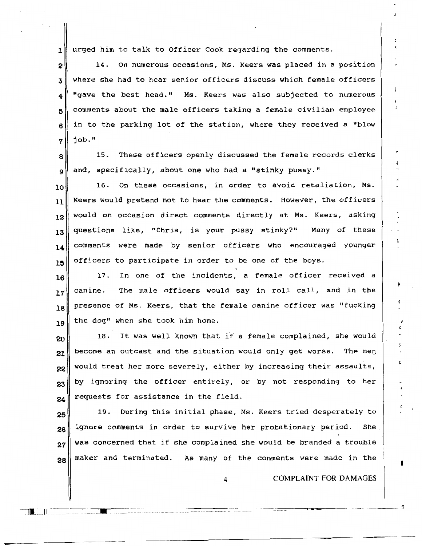$1$  urged him to talk to Officer Cook regarding the comments.

 $2$  14. On numerous occasions, Ms. Keers was placed in a position  $3$  where she had to hear senior officers discuss which female officers  $_4$  "gave the best head." Ms. Keers was also subjected to numerous  $5$  comments about the male officers taking a female civilian employee  $6 \parallel$  in to the parking lot of the station, where they received a "blow"  $7$  job."

 $8$  15. These officers openly discussed the female records clerks  $9 \parallel$  and, specifically, about one who had a "stinky pussy."

 $\begin{array}{ccc} 10 & 16. \end{array}$  On these occasions, in order to avoid retaliation, Ms. Keers would pretend not to hear the comments. However, the officers  $\|12\|$  would on occasion direct comments directly at Ms. Keers, asking questions like, "Chris, is your pussy stinky?" Many of these comments were made by senior officers who encouraged younger officers to participate in order to be one of the boys.

16 17. In one of the incidents, a female officer received a  $17$  canine. The male officers would say in roll call, and in the  $\begin{bmatrix} 18 \end{bmatrix}$  presence of Ms. Keers, that the female canine officer was "fucking  $19$  the dog" when she took him home.

 $20$  18. It was well known that if a female complained, she would  $21$  become an outcast and the situation would only get worse. The men 22 23 24 would treat her more severely, either by increasing their assaults, by ignoring the officer entirely, or by not responding to her requests for assistance in the field.

25 26 27 28 19. During this initial phase, Ms. Keers tried desperately to ignore comments in order to survive her probationary period. She was concerned that if she complained she would be branded a trouble maker and terminated. As many of the comments were made in the

••. •••n•••-m•••• • :·. ••nn• ••• u-•-•o•ou••••m •• •••••••unuon•--····-··---··· J -.::· .. •••••-••• •m•un uU••••••--• ••-

II. ll

COMPLAINT FOR DAMAGES

----~

r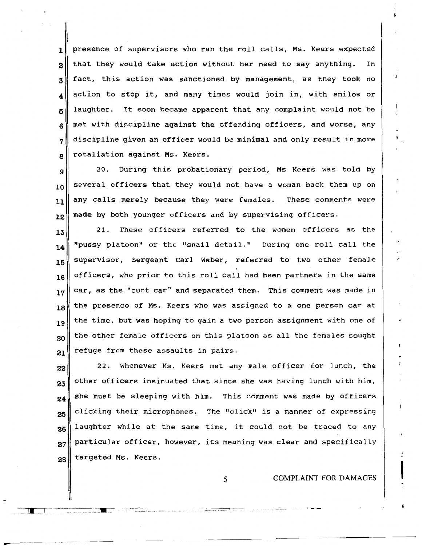$\mathbf{1}$  presence of supervisors who ran the roll calls, Ms. Keers expected  $2 \parallel$  that they would take action without her need to say anything. In  $3 \parallel$  fact, this action was sanctioned by management, as they took no  $_4$  action to stop it, and many times would join in, with smiles or  $5$  laughter. It soon became apparent that any complaint would not be  $6 \parallel$  met with discipline against the offending officers, and worse, any  $7 \parallel$  discipline given an officer would be minimal and only result in more  $\mathbf{g}$  retaliation against Ms. Keers.

 $\|\cdot\|$  20. During this probationary period, Ms Keers was told by  $\begin{bmatrix} 10 \end{bmatrix}$  several officers that they would not have a woman back them up on 11 12 any calls merely because they were females. These comments were made by both younger officers and by supervising officers.

13 14 15 16 21. These officers referred to the women officers as the "pussy platoon" or the "snail detail." During one roll call the supervisor, Sergeant Carl Weber, referred to two other female officers, who prior to this roll call had been partners in the same  $17$  car, as the "cunt car" and separated them. This comment was made in 18 19 20 the presence of Ms. Keers who was assigned to a one person car at the time, but was hoping to gain a two person assignment with one of the other female officers on this platoon as all the females sought  $21$  refuge from these assaults in pairs.

 $22$ <sup> $\parallel$ </sup> 22. Whenever Ms. Keers met any male officer for lunch, the 23 24 25 26 27 28 other officers insinuated that since she was having lunch with him, she must be sleeping with him. This comment was made by officers clicking their microphones. The "click" is a manner of expressing laughter while at the same time, it could not be traced to any particular officer, however, its meaning was clear and specifically targeted Ms. Keers.

5 COMPLAINT FOR DAMAGES

 $\mathbf{I}$ 

 $1$  ...  $1$  ...

.......... \_ .......... .

-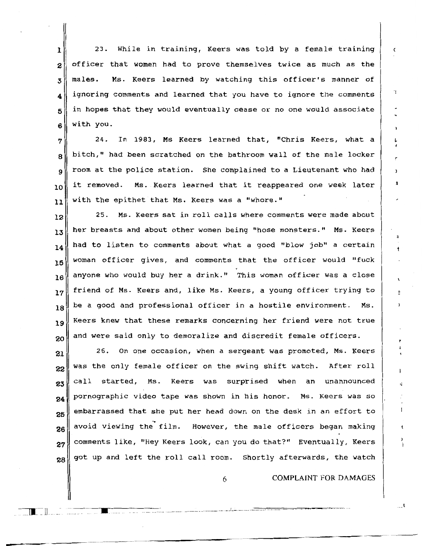1 2 3 **4**  5 6 23. While in training, Keers was told by a female training officer that women had to prove themselves twice as much as the males. Ms. Keers learned by watching this officer's manner of ignoring comments and learned that you have to ignore the comments in hopes that they would eventually cease or no one would associate with you.

7 8 9 10 **11**  24. In 1983, Ms Keers learned that, "Chris Keers, what a bitch," had been scratched on the bathroom wall of the male locker room at the police station. She complained to a Lieutenant who had it removed. Ms. Keers learned that it reappeared one week later with the epithet that Ms. Keers was a "whore."

12 25. Ms. Keers sat in roll calls where comments were made about  $\mathbf{13}$  her breasts and about other women being "hose monsters." Ms. Keers  $\mathbf{14}$  had to listen to comments about what a good "blow job" a certain 15 16 17 18 19 20 woman officer gives, and comments that the officer would "fuck anyone who would buy her a drink." This woman officer was a close friend of Ms. Keers and, like Ms. Keers, a young officer trying to be a good and professional officer in a hostile environment. Ms. Keers knew that these remarks concerning her friend were not true and were said only to demoralize and discredit female officers.

21 26. On one occasion, when a sergeant was promoted, Ms. Keers  $22$  was the only female officer on the swing shift watch. After roll  $23\parallel$  call started, Ms. Keers was surprised when an unannounced  $24$  pornographic video tape was shown in his honor. Ms. Keers was so 25 26 27 28 embarrassed that she put her head down on the desk in an effort to avoid viewing the film. However, the male officers began making comments like, "Hey Keers look, can you do that?" Eventually, Keers got up and left the roll call room. Shortly afterwards, the watch

6 COMPLAINT FOR DAMAGES

c

• -····----··- -·······-···--···-. \_\_\_ .} \_\_\_\_\_\_\_\_ ·-·-·. --~=="""=-\_,\_.,\_ --=--\_,..,\_ -=-\_..,.. \_\_ .., \_\_\_\_ ~ ·--~

**\_\_ ll \_**\_ ll ....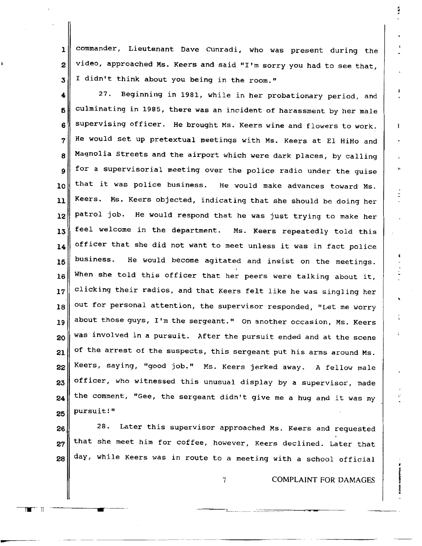commander, Lieutenant Dave Cunradi, who was present during the  $\mathbf{1}$ video, approached Ms. Keers and said "I'm sorry you had to see that,  $\overline{2}$ I didn't think about you being in the room."  $\overline{\mathbf{3}}$ 

Beginning in 1981, while in her probationary period, and 27.  $\ddot{\textbf{4}}$ culminating in 1985, there was an incident of harassment by her male 5 supervising officer. He brought Ms. Keers wine and flowers to work. 6 He would set up pretextual meetings with Ms. Keers at El HiHo and 7 Magnolia Streets and the airport which were dark places, by calling 8 for a supervisorial meeting over the police radio under the guise 9 that it was police business. He would make advances toward Ms. 10 Keers. Ms. Keers objected, indicating that she should be doing her 11 He would respond that he was just trying to make her patrol job. 12 feel welcome in the department. Ms. Keers repeatedly told this 13 officer that she did not want to meet unless it was in fact police 14 He would become agitated and insist on the meetings. business. 15 When she told this officer that her peers were talking about it, 16 clicking their radios, and that Keers felt like he was singling her 17 out for personal attention, the supervisor responded, "Let me worry 18 about those guys, I'm the sergeant." On another occasion, Ms. Keers 19 was involved in a pursuit. After the pursuit ended and at the scene 20 of the arrest of the suspects, this sergeant put his arms around Ms. 21 Keers, saying, "good job." Ms. Keers jerked away. A fellow male 22 officer, who witnessed this unusual display by a supervisor, made 23 the comment, "Gee, the sergeant didn't give me a hug and it was my 24 pursuit!" 25

28. Later this supervisor approached Ms. Keers and requested 26 that she meet him for coffee, however, Keers declined. Later that 27 day, while Keers was in route to a meeting with a school official 28

 $\overline{7}$ 

**COMPLAINT FOR DAMAGES** 

1

Π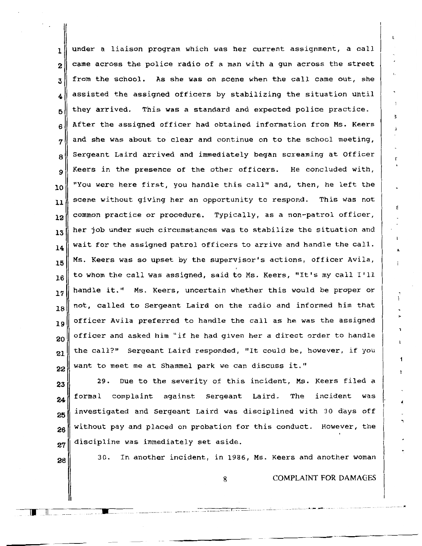$\mathbf{1}$  under a liaison program which was her current assignment, a call 2 3 4 5 6 7 8 9 10 11 12 13 14 15 16 17 18 19 20 21 22 came across the police radio of a man with a gun across the street from the school. As she was on scene when the call came out, she assisted the assigned officers by stabilizing the situation until they arrived. This was a standard and expected police practice. After the assigned officer had obtained information from Ms. Keers and she was about to clear and continue on to the school meeting, Sergeant Laird arrived and immediately began screaming at Officer Keers in the presence of the other officers. He concluded with, "You were here first, you handle this call" and, then, he left the scene without giving her an opportunity to respond. This was not common practice or procedure. Typically, as a non-patrol officer, her job under such circumstances was to stabilize the situation and wait for the assigned patrol officers to arrive and handle the call. Ms. Keers was so upset by the supervisor's actions, officer Avila, to whom the call was assigned, said to Ms. Keers, "It's my call I'll handle it." Ms. Keers, uncertain whether this would be proper or not, called to Sergeant Laird on the radio and informed him that officer Avila preferred to handle the call as he was the assigned officer and asked him "if he had given her a direct order to handle the call?" Sergeant Laird responded, "It could be, however, if you want to meet me at Shammel park we can discuss it."

23 24 25 26 27 29. Due to the severity of this incident, Ms. Keers filed a formal complaint against Sergeant Laird. The incident was investigated and Sergeant Laird was disciplined with 30 days off without pay and placed on probation for this conduct. However, the discipline was immediately set aside.

28

II :n \_

 $\blacksquare$ 

30. In another incident, in 1986, Ms. Keers and another woman

8 COMPLAINT FOR DAMAGES

, .. - .... -u .. -.... u-..... -..... -. r, .. -.... ••••'"' •'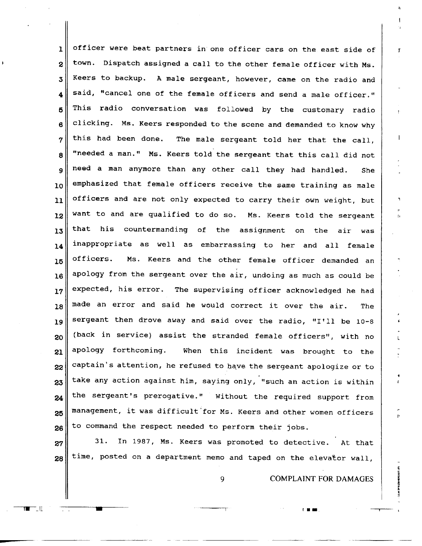$_1\parallel$  officer were beat partners in one officer cars on the east side of  $2\parallel$  town. Dispatch assigned a call to the other female officer with Ms. Keers to backup. A male sergeant, however, came on the radio and  $_4\parallel$  said, "cancel one of the female officers and send a male officer." This radio conversation was followed by the customary radio clicking. Ms. Keers responded to the scene and demanded to know why this had been done. The male sergeant told her that the call,  $\parallel$  "needed a man." Ms. Keers told the sergeant that this call did not 9 need a man anymore than any other call they had handled. She  $_{10}$  emphasized that female officers receive the same training as male officers and are not only expected to carry their own weight, but want to and are qualified to do so. Ms. Keers told the sergeant that his countermanding of the assignment on the air was  $_1$ 4 inappropriate as well as embarrassing to her and all female officers. Ms. Keers and the other female officer demanded an apology from the sergeant over the air, undoing as much as could be expected, his error. The supervising officer acknowledged he had made an error and said he would correct it over the air. The sergeant then drove away and said over the radio, "I'll be 10-8 (back in service) assist the stranded female officers", with no apology forthcoming. When this incident was brought to the captain's attention, he refused to have the sergeant apologize or to take any action against him, saying only, "such an action is within the sergeant's prerogative." Without the required support from management, it was difficult'for Ms. Keers and other women officers to command the respect needed to perform their jobs.

 31. In 1987, Ms. Keers was promoted to detective. At that time, posted on a department memo and taped on the elevator wall,

 $\mathbb{L}^{\mathbb{L}}$ 

-

COMPLAINT FOR DAMAGES

I•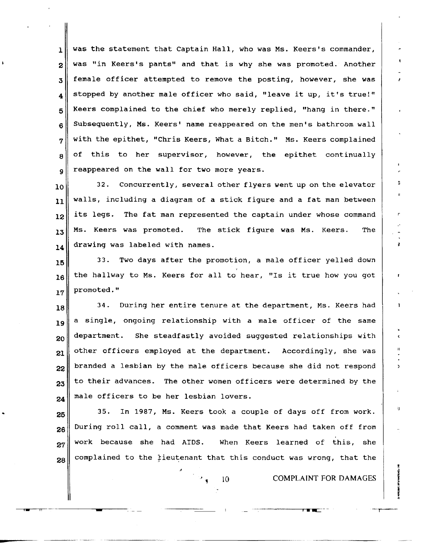$1$  was the statement that Captain Hall, who was Ms. Keers's commander,  $2\parallel$  was "in Keers's pants" and that is why she was promoted. Another  $3$  female officer attempted to remove the posting, however, she was  $_4\parallel$  stopped by another male officer who said, "leave it up, it's true!"  $5$  Keers complained to the chief who merely replied, "hang in there."  $6$  Subsequently, Ms. Keers' name reappeared on the men's bathroom wall  $7 \parallel$  with the epithet, "Chris Keers, What a Bitch." Ms. Keers complained  $8 \parallel$  of this to her supervisor, however, the epithet continually  $q \parallel$  reappeared on the wall for two more years.

 $\begin{array}{ll} 10 \ 32. & \text{Concurrently, several other flyers went up on the elevator.} \end{array}$  $11$  walls, including a diagram of a stick figure and a fat man between  $\|12\|$  its legs. The fat man represented the captain under whose command  $13$  Ms. Keers was promoted. The stick figure was Ms. Keers. The 14 drawing was labeled with names.

15 16 17 33. Two days after the promotion, a male officer yelled down the hallway to Ms. Keers for all to hear, "Is it true how you got promoted."

18 34. During her entire tenure at the department, Ms. Keers had  $\|\mathbf{a}\|$  a single, ongoing relationship with a male officer of the same  $_{20}\parallel$  department. She steadfastly avoided suggested relationships with  $21$  other officers employed at the department. Accordingly, she was  $22$  branded a lesbian by the male officers because she did not respond 23 24 to their advances. The other women officers were determined by the male officers to be her lesbian lovers.

25 26 27 35. In 1987, Ms. Keers took a couple of days off from work. During roll call, a comment was made that Keers had taken off from work because she had AIDS. When Keers learned of this, she  $28\parallel$  complained to the tieutenant that this conduct was wrong, that the

---- -----------

for  $\mathbf{m}$ 

10 **COMPLAINT FOR DAMAGES** 

'l

¥

<sup>r</sup>•-=·--·-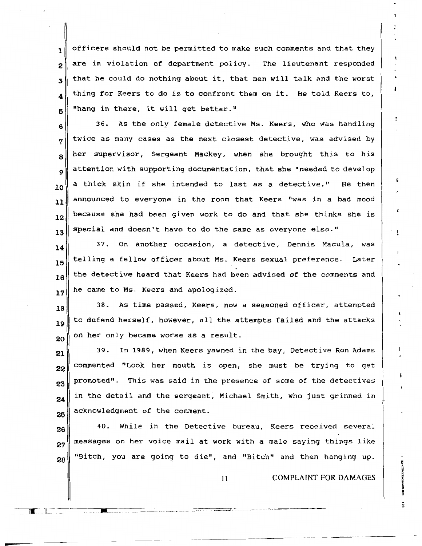$\mathbf{1}$  officers should not be permitted to make such comments and that they  $2\parallel$  are in violation of department policy. The lieutenant responded  $\mathbf{3}$  that he could do nothing about it, that men will talk and the worst 4 5 thing for Keers to do is to confront them on it. He told Keers to, "hang in there, it will get better."

6 7 8 9 10 36. As the only female detective Ms. Keers, who was handling twice as many cases as the next closest detective, was advised by her supervisor, Sergeant Mackey, when she brought this to his attention with supporting documentation, that she "needed to develop a thick skin if she intended to last as a detective." He then  $\mathbf{u}_1$  announced to everyone in the room that Keers "was in a bad mood  $\mathbf{h}$  because she had been given work to do and that she thinks she is 13 special and doesn't have to do the same as everyone else."

14 15 16 17 37. On another occasion, a detective, Dennis Macula, was telling a fellow officer about Ms. Keers sexual preference. Later the detective heard that Keers had been advised of the comments and he came to Ms. Keers and apologized.

18 19 20 38. As time passed, Keers, now a seasoned officer, attempted to defend herself, however, all the attempts failed and the attacks on her only became worse as a result.

21 22 23 24 25 39. In 1989, when Keers yawned in the bay, Detective Ron Adams commented "Look her mouth is open, she must be trying to get promoted". This was said in the presence of some of the detectives in the detail and the sergeant, Michael Smith, who just grinned in acknowledgment of the comment.

26 27 28 40. While in the Detective bureau, Keers received several messages on her voice mail at work with a male saying things like "Bitch, you are going to die", and "Bitch" and then hanging up.

~~---..---\_-\_\_ -\_\_ --\_-\_\_\_\_\_ - \_\_\_\_\_\_\_\_\_\_\_\_\_\_\_\_\_\_\_ ---------------· ---------------- \_\_\_\_\_\_\_\_\_\_\_\_ -::r\_·: \_\_\_\_\_\_\_\_\_\_\_\_\_ \_

 $\overline{\phantom{a}}$ 

II COMPLAINT FOR DAMAGES

E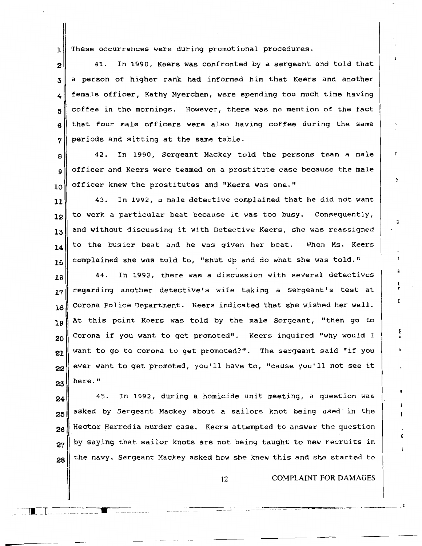1 These occurrences were during promotional procedures.

 41. In 1990, Keers was confronted by a sergeant and told that a person of higher rank had informed him that Keers and another  $_4$  female officer, Kathy Myerchen, were spending too much time having coffee in the mornings. However, there was no mention of the fact that four male officers were also having coffee during the same  $7 \parallel$  periods and sitting at the same table.

 $\begin{array}{c|cccccc}\n8 & 42. & \text{In} & 1990, & \text{Sergeant} & \text{Mackey} & \text{told} & \text{the persons team a male}\n\end{array}$  $9 \parallel$  officer and Keers were teamed on a prostitute case because the male  $10$  officer knew the prostitutes and "Keers was one."

 43. In 1992, a male detective complained that he did not want  $\|2\|$  to work a particular beat because it was too busy. Consequently, and without discussing it with Detective Keers, she was reassigned to the busier beat and he was given her beat. When Ms. Keers complained she was told to, "shut up and do what she was told."

 $\|16\|$  44. In 1992, there was a discussion with several detectives  $17$  regarding another detective's wife taking a Sergeant's test at  $\begin{array}{|l|} 18\end{array}$  Corona Police Department. Keers indicated that she wished her well. 19 At this point Keers was told by the male Sergeant, "then go to 20 21 22 23 Corona if you want to get promoted". Keers inquired "why would I want to go to Corona to get promoted?". The sergeant said "if you ever want to get promoted, you'll have to, "cause you'll not see it here."

24 25 26 27 28 45. In 1992, during a homicide unit meeting, a question was asked by Sergeant Mackey about a sailors knot being used· in the Hector Herredia murder case. Keers attempted to answer the question by saying that sailor knots are not being taught to new recruits in the navy. Sergeant Mackey asked how she knew this and she started to

 $\Box$  . July , and the set of the set of the set of the set of the set of the set of the set of the set of the set of the set of the set of the set of the set of the set of the set of the set of the set of the set of the s

12 **COMPLAINT FOR DAMAGES** 

5

Е

п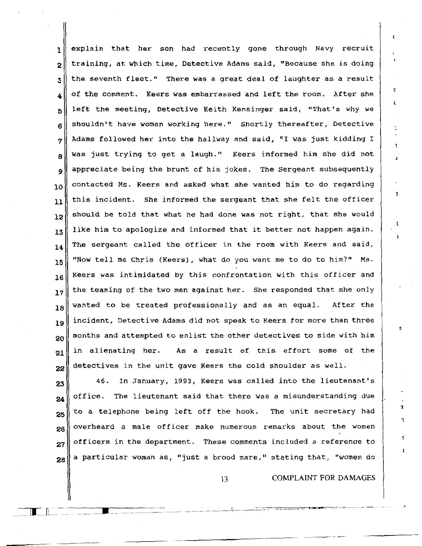$1$  explain that her son had recently gone through Navy recruit  $2$  training, at which time, Detective Adams said, "Because she is doing  $3$  the seventh fleet." There was a great deal of laughter as a result of the comment. Keers was embarrassed and left the room. After she 5 6 7 8 9 10 11 12 13 14 15 16 17 18 19 20 21 22 left the meeting, Detective Keith Kensinger said, "That's why we shouldn't have women working here." Shortly thereafter, Detective Adams followed her into the hallway and said, "I was just kidding I was just trying to get a laugh." Keers informed him she did not appreciate being the brunt of his jokes. The Sergeant subsequently contacted Ms. Keers and asked what she wanted him to do regarding this incident. She informed the sergeant that she felt the officer should be told that what he had done was not right, that she would like him to apologize and informed that it better not happen again. The sergeant called the officer in the room with Keers and said, "Now tell me Chris (Keers), what do you want me to do to him?" Ms. Keers was intimidated by this confrontation with this officer and the teaming of the two men against her. She responded that she only wanted to be treated professionally and as an equal. After the incident, Detective Adams did not speak to Keers for more than three months and attempted to enlist the other detectives to side with him in alienating her. As a result of this effort some of the detectives in the unit gave Keers the cold shoulder as well.

23 24 25 26 46. In January, 1993, Keers was called into the lieutenant's office. The lieutenant said that there was a misunderstanding due to a telephone being left off the hook. The unit secretary had overheard a male officer make numerous remarks about the women  $27$  officers in the department. These comments included a reference to  $28$ a particular woman as, "just a brood mare," stating that, "women do

13 **COMPLAINT FOR DAMAGES** 

L

1

. - .... -- \_\_\_\_\_\_ : \_\_\_\_\_\_\_\_\_ L ... -- \_\_\_\_\_\_\_\_ :::::...... . . --·-·· ---·-·- -· -·· .. .

 $\mathbf{L}$ 

---•-- .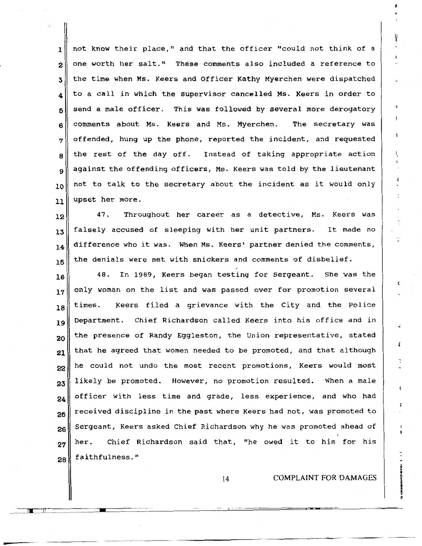1 || not know their place," and that the officer "could not think of a  $2\parallel$  one worth her salt." These comments also included a reference to  $3$  the time when Ms. Keers and Officer Kathy Myerchen were dispatched  $_4\parallel$  to a call in which the supervisor cancelled Ms. Keers in order to  $5$  send a male officer. This was followed by several more derogatory  $6$  comments about Ms. Keers and Ms. Myerchen. The secretary was  $7$  offended, hung up the phone, reported the incident, and requested  $8$  the rest of the day off. Instead of taking appropriate action 9 against the offending officers, Ms. Keers was told by the lieutenant  $_{10}$  not to talk to the secretary about the incident as it would only  $11$  upset her more.

 $\|12\|$  47. Throughout her career as a detective, Ms. Keers was  $13$  falsely accused of sleeping with her unit partners. It made no  $\mathbf{14}$  difference who it was. When Ms. Keers' partner denied the comments,  $\begin{array}{|c|c|c|c|c|}\hline \texttt{the} & \texttt{denials} & \texttt{were} & \texttt{met} & \texttt{white} \\\hline \end{array}$ 

 $\begin{array}{ccc} 16 \end{array}$  48. In 1989, Keers began testing for Sergeant. She was the  $17$  only woman on the list and was passed over for promotion several  $\begin{bmatrix} 18 \end{bmatrix}$  times. Keers filed a grievance with the City and the Police 19 Department. Chief Richardson called Keers into his office and in 20 21 the presence of Randy Eggleston, the Union representative, stated that he agreed that women needed to be promoted, and that although  $_{22}\parallel$  he could not undo the most recent promotions, Keers would most 23 24 25 26 27 28 likely be promoted. However, no promotion resulted. When a male officer with less time and grade, less experience, and who had received discipline in the past where Keers had not, was promoted to Sergeant, Keers asked Chief Richardson why he was promoted ahead of her. Chief Richardson said that, "he owed it to him for his faithfulness."

14 COMPLAINT FOR DAMAGES

f

I,

Ţ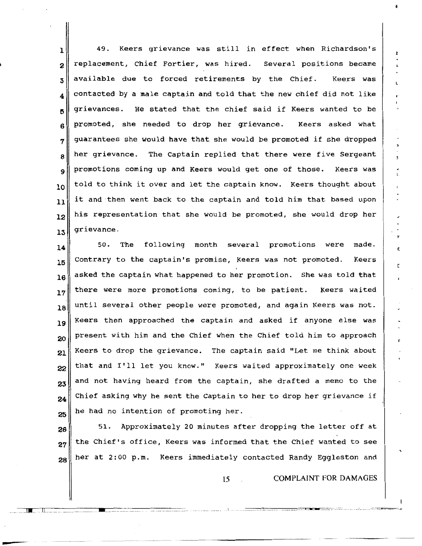$\begin{array}{c|cccccc}\n 1 & 49. & \text{Keers} & \text{grievance} & \text{was still in effect when Richardson's}\n\end{array}$ 2 replacement, *Chief* Fortier, was hired. Several positions became  $3$  available due to forced retirements by the Chief. Keers was  $_4$  contacted by a male captain and told that the new chief did not like 5 6 7 8 9 10 11 12 13 grievances. He stated that the chief said if Keers wanted to be promoted, she needed to drop her grievance. Keers asked what guarantees she would have that she would be promoted if she dropped her grievance. The Captain replied that there were five Sergeant promotions coming up and Keers would get one of those. Keers was told to think it over and let the captain know. Keers thought about it and then went back to the captain and told him that based upon his representation that she would be promoted, she would drop her grievance.

14 15 16 17 18 19 20 50. The following month several promotions were made. Contrary to the captain's promise, Keers was not promoted. *Keers*  asked the captain what happened to her promotion. She was told that there were more promotions coming, to be patient. Keers waited until several other people were promoted, and again Keers was not. Keers then approached the captain and asked if anyone else was present with him and the Chief when the *Chief* told him to approach  $21$  Keers to drop the grievance. The captain said "Let me think about  $22$  that and I'll let you know." Keers waited approximately one week 23 24 25 and not having heard from the captain, she drafted a memo to the Chief asking why he sent the Captain to her to drop her grievance if he had no intention of promoting her.

26 27 28 51. Approximately 20 minutes after dropping the letter off at the Chief's office, Keers was informed that the Chief wanted to see her at 2:00 p.m. Keers immediately contacted Randy Eggleston and

---- \_\_\_ JW ... \_\.L.\_ \_\_ ------ ---·-------------------. -•-- ------------------------ (.\_.\_ ..... \_\_.. .. ----:-. ---··--· \_\_\_ ...

15 COMPLAINT FOR DAMAGES

I'

ŀ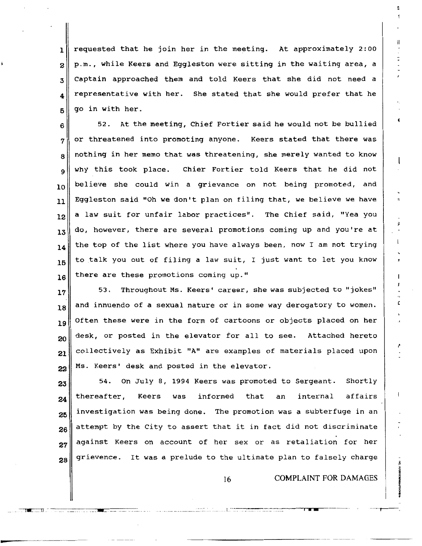$1$  requested that he join her in the meeting. At approximately 2:00 2 3 4 5 p.m., while Keers and Eggleston were sitting in the waiting area, a Captain approached them and told Keers that she did not need a representative with her. She stated that she would prefer that he go in with her.

6 7 8 9 10 ll 52. At the meeting, Chief Fortier said he would not be bullied or threatened into promoting anyone. Keers stated that there was nothing in her memo that was threatening, she merely wanted to know why this took place. Chier Fortier told Keers that he did not believe she could win a grievance on not being promoted, and Eggleston said "Oh we don't plan on filing that, we believe we have  $\|12\|$  a law suit for unfair labor practices". The Chief said, "Yea you  $13$  do, however, there are several promotions coming up and you're at 14 15 16 the top of the list where you have always been, now I am not trying to talk you out of filing a law suit, I just want to let you know there are these promotions coming up."

17 18 19 20 21 22 53. Throughout Ms. Keers' career, she was subjected to "jokes" and innuendo of a sexual nature or in some way derogatory to women. Often these were in the form of cartoons or objects placed on her desk, or posted in the elevator for all to see. Attached hereto collectively as Exhibit "A" are examples of materials placed upon Ms. Keers' desk and posted in the elevator.

23 24 25 26 27 28 54. On July 8, 1994 Keers was promoted to Sergeant. Shortly thereafter, Keers was informed that an internal affairs investigation was being done. The promotion was a subterfuge in an attempt by the City to assert that it in fact did not discriminate against Keers on account of her sex or as retaliation for her grievence. It was a prelude to the ultimate plan to falsely charge

1 •..... l.l . ------... -. \_\_\_\_\_ - ... -.•. -... -..... - L ···-. ----------.,,...., • ..-..r--

------------

16 COMPLAINT FOR DAMAGES

*t* 

 $\epsilon$ 

g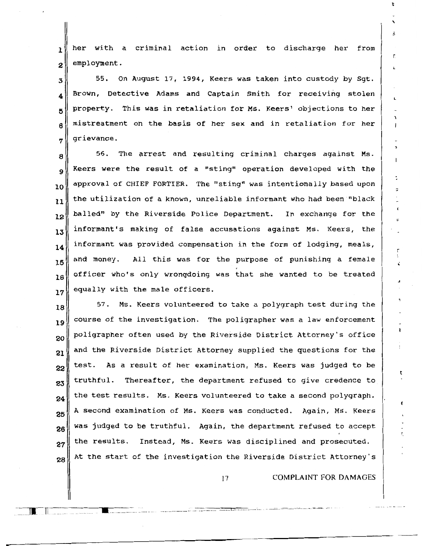$\mathbf{1}$  her with a criminal action in order to discharge her from  $2$  employment.

 55. On August 17, 1994, Keers was taken into custody by Sgt.  $_4$  Brown, Detective Adams and Captain Smith for receiving stolen property. This was in retaliation for Ms. Keers' objections to her mistreatment on the basis of her sex and in retaliation for her grievance.

 $8\parallel$  56. The arrest and resulting criminal charges against Ms.  $\mathbf{Q}$  Keers were the result of a "sting" operation developed with the  $_{10}^{\parallel}$  approval of CHIEF FORTIER. The "sting" was intentionally based upon  $\mathbf{u}_1$  the utilization of a known, unreliable informant who had been "black 12 13 14 15 16 17 balled" by the Riverside Police Department. In exchange for the informant's making of false accusations against Ms. Keers, the informant was provided compensation in the form of lodging, meals, and money. All this was for the purpose of punishing a female officer who's only wrongdoing was that she wanted to be treated equally with the male officers.

18 19 20 21 22 23 24 25 26 27 57. Ms. Keers volunteered to take a polygraph test during the course of the investigation. The poligrapher was a law enforcement poligrapher often used by the Riverside District Attorney's office and the Riverside District Attorney supplied the questions for the test. As a result of her examination, Ms. Keers was judged to be truthful. Thereafter, the department refused to give credence to the test results. Ms. Keers volunteered to take a second polygraph. A second examination of Ms. Keers was conducted. Again, Ms. Keers was judged to be truthful. Again, the department refused to accept the results. Instead, Ms. Keers was disciplined and prosecuted.  $28$  At the start of the investigation the Riverside District Attorney's

17 COMPLAINT FOR DAMAGES

r I

t

ī.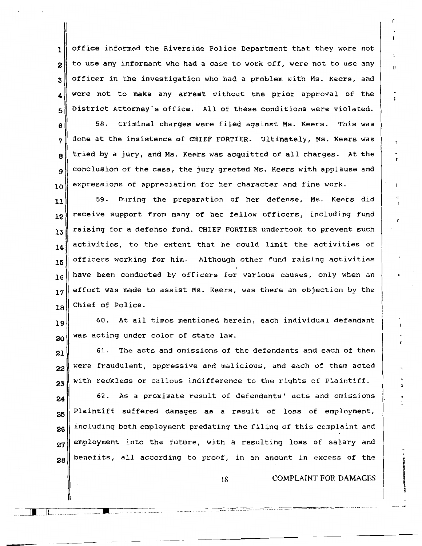$1$  office informed the Riverside Police Department that they were not  $2 \parallel$  to use any informant who had a case to work off, were not to use any  $3 \parallel$  officer in the investigation who had a problem with Ms. Keers, and  $_4$  were not to make any arrest without the prior approval of the  $5$  District Attorney's office. All of these conditions were violated.

 $6$  58. Criminal charges were filed against Ms. Keers. This was  $\eta$  done at the insistence of CHIEF FORTIER. Ultimately, Ms. Keers was  $8 \parallel$  tried by a jury, and Ms. Keers was acquitted of all charges. At the  $9 \parallel$  conclusion of the case, the jury greeted Ms. Keers with applause and  $_{10}\parallel$  expressions of appreciation for her character and fine work.

 $11$  59. During the preparation of her defense, Ms. Keers did  $\mathbf{12}$  receive support from many of her fellow officers, including fund  $\begin{bmatrix} 13 \end{bmatrix}$  raising for a defense fund. CHIEF FORTIER undertook to prevent such  $\|14\|$  activities, to the extent that he could limit the activities of  $15$  officers working for him. Although other fund raising activities  $16$  have been conducted by officers for various causes, only when an  $\|17\|$  effort was made to assist Ms. Keers, was there an objection by the 18 Chief of Police.

19 20 60. At all times mentioned herein, each individual defendant was acting under color of state law.

21 22 23 61. The acts and omissions of the defendants and each of them were fraudulent, oppressive and malicious, and each of them acted with reckless or callous indifference to the rights of Plaintiff.

24 25 62. As a proximate result of defendants' acts and omissions Plaintiff suffered damages as a result of loss of employment,  $26$  including both employment predating the filing of this complaint and  $27$  employment into the future, with a resulting loss of salary and  $_{28}\parallel$  benefits, all according to proof, in an amount in excess of the

18 COMPLAINT FOR DAMAGES

. - *.. -=c\_::-:.::c=\_* 7-c. --=-··=···,....\_ =-· =· ,.....,.,~----········ .. -- ·-····· .

 $\blacksquare$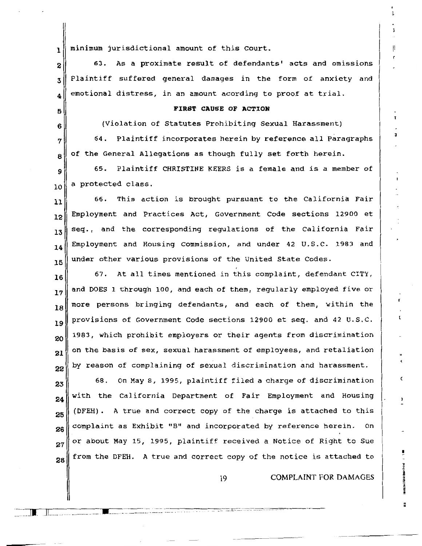$_{1}$  minimum jurisdictional amount of this Court.

 $2<sup>8</sup>$  63. As a proximate result of defendants' acts and omissions  $3$  Plaintiff suffered general damages in the form of anxiety and  $_{4}$  emotional distress, in an amount acording to proof at trial.

# 5**6** FIRST CAUSE OF ACTION

 $6$  (Violation of Statutes Prohibiting Sexual Harassment)

 $7\parallel$  64. Plaintiff incorporates herein by reference all Paragraphs  $\mathbf{B}$  of the General Allegations as though fully set forth herein.

 $9<sup>1</sup>$  65. Plaintiff CHRISTINE KEERS is a female and is a member of  $_{10}$  a protected class.

 $11$  66. This action is brought pursuant to the California Fair 12 13 14 15 Employment and Practices Act, Government Code sections 12900 et seq., and the corresponding regulations of the California Fair Employment and Housing Commission, and under 42 U.S.C. 1983 and under other various provisions of the United State Codes.

16 17 18 19 20 21 22 67. At all times mentioned in this complaint, defendant CITY, and DOES 1 through 100, and each of them, regularly employed five or more persons bringing defendants, and each of them, within the provisions of Government Code sections 12900 et seq. and 42 U.s.c. 1983, which prohibit employers or their agents from discrimination on the basis of sex, sexual harassment of employees, and retaliation by reason of complaining of sexual discrimination and harassment.

23 24 25 26 27 28 68. On May 8, 1995, plaintiff filed a charge of discrimination with the California Department of Fair Employment and Housing (DFEH) . A true and correct copy of the charge is attached to this complaint as Exhibit ''B" and incorporated by reference herein. On or about May 15, 1995, plaintiff received a Notice of Right to sue from the DFEH. A true and correct copy of the notice is attached to

19 COMPLAINT FOR DAMAGES

!I

r

~--r----r,..-----------~-- - ·-·-. . JI. JL \_\_\_ -... --------· ----- ........ .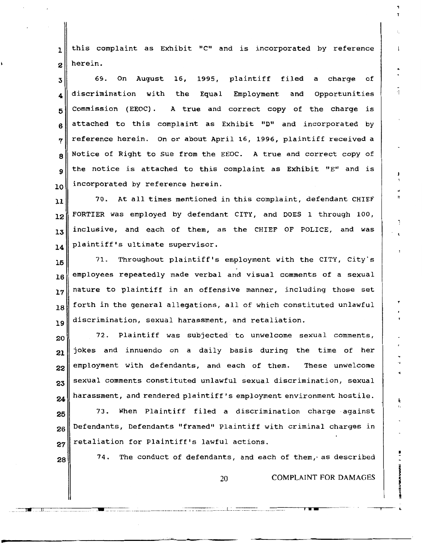$1$  this complaint as Exhibit "C" and is incorporated by reference  $2$  herein.

 69. On August 16, 1995, plaintiff filed a charge of discrimination with the Equal Employment and Opportunities Commission (EEOC). A true and correct copy of the charge is attached to this complaint as Exhibit "D" and incorporated by  $7 \text{ m}$  reference herein. On or about April 16, 1996, plaintiff received a  $8 \text{ N}$  Notice of Right to Sue from the EEOC. A true and correct copy of the notice is attached to this complaint as Exhibit "E" and is  $_{10}$  incorporated by reference herein.

11<sup>1</sup> 70. At all times mentioned in this complaint, defendant CHIEF  $\|12\|$  FORTIER was employed by defendant CITY, and DOES 1 through 100,  $13$  inclusive, and each of them, as the CHIEF OF POLICE, and was plaintiff's ultimate supervisor. **<sup>14</sup>**

=

 $15$  71. Throughout plaintiff's employment with the CITY, City's  $\begin{bmatrix} 16 \end{bmatrix}$  employees repeatedly made verbal and visual comments of a sexual  $17$  nature to plaintiff in an offensive manner, including those set  $\begin{array}{|c|c|c|c|c|}\hline \text{forth in the general allegations, all of which constituted unlawful} \hline \end{array}$  $\mathbf{19}$  discrimination, sexual harassment, and retaliation.

 $20\parallel$  72. Plaintiff was subjected to unwelcome sexual comments, jokes and innuendo on a daily basis during the time of her employment with defendants, and each of them. These unwelcome sexual comments constituted unlawful sexual discrimination, sexual harassment, and rendered plaintiff's employment environment hostile.

 $25\$  73. When Plaintiff filed a discrimination charge against  $26$  Defendants, Defendants "framed" Plaintiff with criminal charges in  $27$  retaliation for Plaintiff's lawful actions.

 $28\vert$  74. The conduct of defendants, and each of them, as described

20 **COMPLAINT FOR DAMAGES** 

-~-~~TI~•---~ -~\_n-u\_-\_~-------\_ ... ..-\_\_ ~---~---~-~--------~---·-········--·······---·::-::-:-:::::=~-~~~--------L~ \_\_ -=-:-::::::::-:: -~-·-···--·-\_\_ -\_\_\_ -\_\_ --....., .........---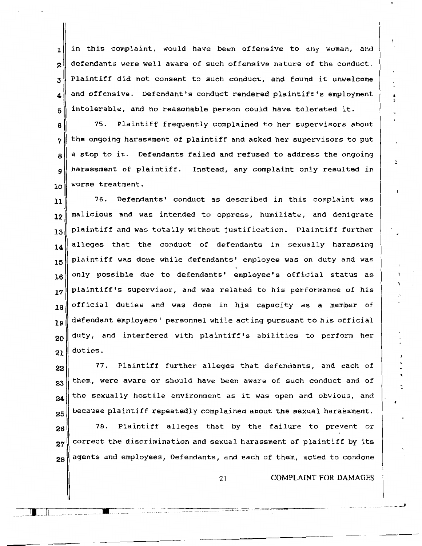l 2 3 4 5 in this complaint, would have been offensive to any woman, and defendants were well aware of such offensive nature of the conduct. Plaintiff did not consent to such conduct, and found it unwelcome and offensive. Defendant's conduct rendered plaintiff's employment intolerable, and no reasonable person could have tolerated it.

6 7 8 9 10 75. Plaintiff frequently complained to her supervisors about the ongoing harassment of plaintiff and asked her supervisors to put a stop to it. Defendants failed and refused to address the ongoing harassment of plaintiff. Instead, any complaint only resulted in worse treatment.

11 12 13 14 15 16 17 18 19 20 21 76. Defendants' conduct as described in this complaint was malicious and was intended to oppress, humiliate, and denigrate plaintiff and was totally without justification. Plaintiff further alleges that the conduct of defendants in sexually harassing plaintiff was done while defendants' employee was on duty and was only possible due to defendants' employee's official status as plaintiff's supervisor, and was related to his performance of his official duties and was done in his capacity as a member of defendant employers' personnel while acting pursuant to his official duty, and interfered with plaintiff's abilities to perform her duties.

22 23 24 25 26 27 28 77. Plaintiff further alleges that defendants, and each of them, were aware or should have been aware of such conduct and of the sexually hostile environment as it was open and obvious, and because plaintiff repeatedly complained about the sexual harassment. 78. Plaintiff alleges that by the failure to prevent or correct the discrimination and sexual harassment of plaintiff by its agents and employees, Defendants, and each of them, acted to condone

21 COMPLAINT FOR DAMAGES

 $\prod_{\omega \in \omega} \prod_{\omega \in \omega}$  , where  $\omega$  is the set of the set of  $\omega$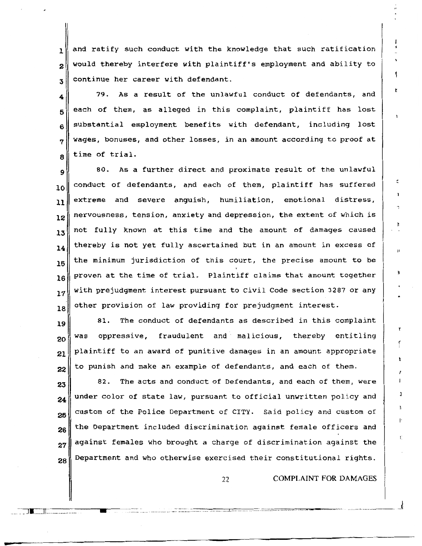1 2 3 and ratify such conduct with the knowledge that such ratification would thereby interfere with plaintiff's employment and ability to continue her career with defendant.

4 5 6 7 8 79. As a result of the unlawful conduct of defendants, and each of them, as alleged in this complaint, plaintiff has lost substantial employment benefits with defendant, including lost wages, bonuses, and other losses, in an amount according to proof at time of trial.

9 10 11 12 13 14 15 16 17 18 80. As a further direct and proximate result of the unlawful conduct of defendants, and each of them, plaintiff has suffered extreme and severe anguish, humiliation, emotional distress, nervousness, tension, anxiety and depression, the extent of which is not fully known at this time and the amount of damages caused thereby is not yet fully ascertained but in an amount *in* excess of the minimum jurisdiction of this court, the precise amount to be proven at the time of trial. Plaintiff claims that amount together with prejudgment interest pursuant to Civil Code section 3287 or any other provision of law providing for prejudgment interest.

19 20 21 22 81. The conduct of defendants as described in this complaint was oppressive, fraudulent and malicious, thereby entitling plaintiff to an award of punitive damages in an amount appropriate to punish and make an example of defendants, and each of them.

23 24 25 26 27 28 82. The acts and conduct of Defendants, and each of them, were under color of state law, pursuant to official unwritten policy and custom of the Police Department of CITY. Said policy and custom of the Department included discrimination against female officers and against females who brought a charge of discrimination against the Department and who otherwise exercised their constitutional rights.

- ·-.. -... -... -.... -... -... -..... -.. ·'· -... -... -... -... -- ····---·-· ........................... .. ·······--······--------J

 $\overline{\phantom{a}}$  ,  $\overline{\phantom{a}}$  ,  $\overline{\phantom{a}}$  ,  $\overline{\phantom{a}}$  ,  $\overline{\phantom{a}}$  ,  $\overline{\phantom{a}}$  ,  $\overline{\phantom{a}}$  ,  $\overline{\phantom{a}}$  ,  $\overline{\phantom{a}}$  ,  $\overline{\phantom{a}}$  ,  $\overline{\phantom{a}}$  ,  $\overline{\phantom{a}}$  ,  $\overline{\phantom{a}}$  ,  $\overline{\phantom{a}}$  ,  $\overline{\phantom{a}}$  ,  $\overline{\phantom{a}}$ 

22 COMPLAINT FOR DAMAGES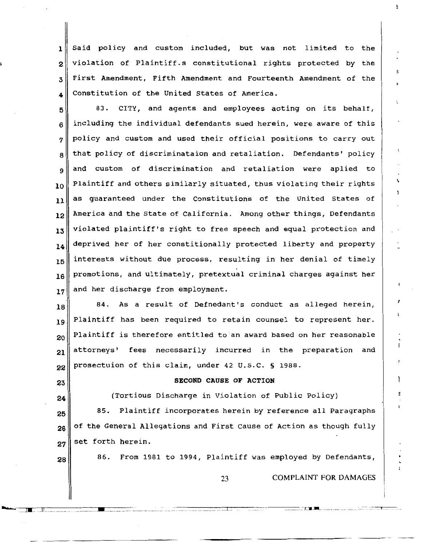1 Said policy and custom included, but was not limited to the  $2\parallel$  violation of Plaintiff.s constitutional rights protected by the 3 First Amendment, Fifth Amendment and Fourteenth Amendment of the  $_4$  Constitution of the United States of America.

 $5$  83. CITY, and agents and employees acting on its behalf,  $6 \parallel$  including the individual defendants sued herein, were aware of this  $7 \text{ }$  policy and custom and used their official positions to carry out  $\mathbf{a}$  that policy of discriminataion and retaliation. Defendants' policy  $9$  and custom of discrimination and retaliation were aplied to  $_{10}$  Plaintiff and others similarly situated, thus violating their rights  $11$  as guaranteed under the Constitutions of the United States of  $\|12\|$  America and the State of California. Among other things, Defendants  $13$  violated plaintiff's right to free speech and equal protection and  $\|14\|$  deprived her of her constitionally protected liberty and property  $15$  interests without due process, resulting in her denial of timely  $_{16}\parallel$  promotions, and ultimately, pretextual criminal charges against her  $17$  and her discharge from employment.

 $\begin{array}{c|ccccc}\n 18 & 84. & \text{As a result of Defnedant's conduct as alleged herein,}\n\end{array}$  $19$  Plaintiff has been required to retain counsel to represent her.  $_{20}$  Plaintiff is therefore entitled to an award based on her reasonable  $_{21}\parallel$  attorneys' fees necessarily incurred in the preparation and 22 prosectuion of this claim, under 42 U.S.C. § 1988.

23 24

### SECOND CAUSE OF ACTION

(Tortious Discharge in Violation of Public Policy)

25 26 27 85. Plaintiff incorporates herein by reference all Paragraphs of the General Allegations and First Cause of Action as though fully set forth herein.

 $28$  86. From 1981 to 1994, Plaintiff was employed by Defendants,

----- --

23 COMPLAINT FOR DAMAGES

.......... -.-\_\_ .,.1.--.. -\_-n\_\\-.. -\_\_ -, -----.-. -----.-.\_.-\_\_ -,\_,-\_ -.. --.. - ,,,\_,\_ .... \_,\_\_ .. \_. .--.. ' -- ··---.--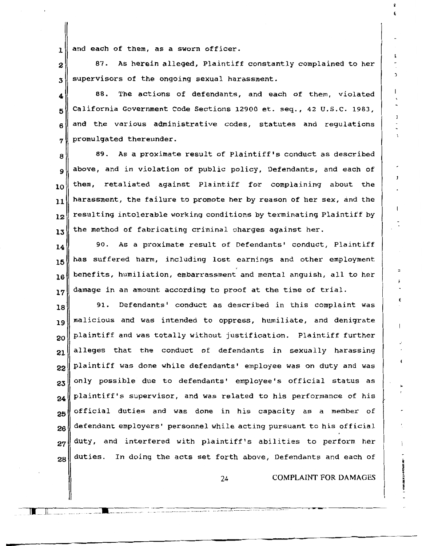$1$  and each of them, as a sworn officer.

 $2 \parallel$  87. As herein alleged, Plaintiff constantly complained to her  $\mathfrak{z} \parallel$  supervisors of the ongoing sexual harassment.

88. The actions of defendants, and each of them, violated  $5$  California Government Code Sections 12900 et. seq., 42 U.S.C. 1983,  $6 \parallel$  and the various administrative codes, statutes and regulations  $7 \parallel$  promulgated thereunder.

 $\begin{array}{c|c|c|c|c|c} \hline \text{89.} & \text{As a proximate result of } \text{Plaintiff's conduct as described} \hline \end{array}$ 9 above, and in violation of public policy, Defendants, and each of  $10$  them, retaliated against Plaintiff for complaining about the  $11$  harassment, the failure to promote her by reason of her sex, and the  $\|12\|$  resulting intolerable working conditions by terminating Plaintiff by  $13$  the method of fabricating criminal charges against her.

 $\|14\|$  90. As a proximate result of Defendants' conduct, Plaintiff  $15$  has suffered harm, including lost earnings and other employment  $\begin{bmatrix} 16 \end{bmatrix}$  benefits, humiliation, embarrassment and mental anguish, all to her  $17$  damage in an amount according to proof at the time of trial.

 $\begin{array}{c|cccccc}\n 18 & 91. & \text{Defendants} & \text{conduct as described in this complaint was}\n\end{array}$  malicious and was intended to oppress, humiliate, and denigrate plaintiff and was totally without justification. Plaintiff further alleges that the conduct of defendants in sexually harassing plaintiff was done while defendants' employee was on duty and was only possible due to defendants' employee's official status as plaintiff's supervisor, and was related to his performance of his official duties and was done in his capacity as a member of  $26\frac{1}{8}$  defendant employers' personnel while acting pursuant to his official duty, and interfered with plaintiff's abilities to perform her duties. In doing the acts set forth above, Defendants and each of

24 COMPLAINT FOR DAMAGES

<sup>1</sup>

·-···-···---·---·-----------· . -- ---------------··· ·-·-----··-··- -· ·---·-- ··-·-----------· \_\_\_ .\_-.. -.. -.... -.. ::-:-:- ... :::: .. --: ..-~~~- -------

 $\blacksquare$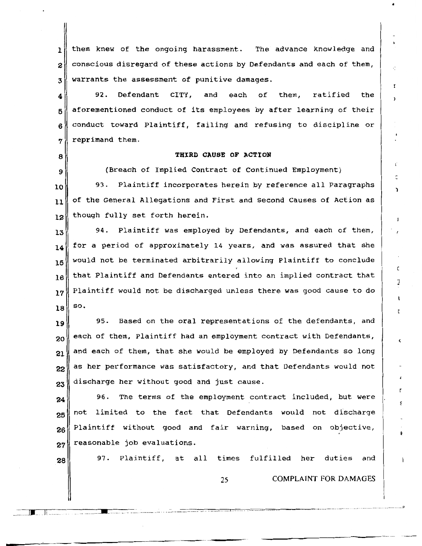1 | them knew of the ongoing harassment. The advance knowledge and  $2\parallel$  conscious disregard of these actions by Defendants and each of them,  $3$  warrants the assessment of punitive damages.

 $\mathbf{4} \parallel \hspace{1.5cm}$  92. Defendant CITY, and each of them, ratified the  $5$  aforementioned conduct of its employees by after learning of their  $6 \parallel$  conduct toward Plaintiff, failing and refusing to discipline or  $7$  reprimand them.

#### THIRD CAUSE OF ACTION

(Breach of Implied Contract of Continued Employment)

)

<sup>1</sup>

J

۲

۴

10 11 12 93. Plaintiff incorporates herein by reference all Paragraphs of the General Allegations and First and Second Causes of Action as though fully set forth herein.

13 14 15 16 94. Plaintiff was employed by Defendants, and each of them, for a period of approximately 14 years, and was assured that she would not be terminated arbitrarily allowing Plaintiff to conclude that Plaintiff and Defendants entered into an implied contract that  $17$  Plaintiff would not be discharged unless there was good cause to do 18 so.

19 20 21 22 23 95. Based on the oral representations of the defendants, and each of them, Plaintiff had an employment contract with Defendants, and each of them, that she would be employed by Defendants so long as her performance was satisfactory, and that Defendants would not discharge her without good and just cause.

24 25 26 27 96. The terms of the employment contract included, but were not limited to the fact that Defendants would not discharge Plaintiff without good and fair warning, based on objective, reasonable job evaluations.

28

J.\_ ]! --

8

9

97. Plaintiff, at all times fulfilled her duties and

25 COMPLAINT FOR DAMAGES

-----.-...---,--~----------\_ -----· --------------- - \_\_\_\_\_\_\_\_\_\_\_\_\_\_\_ - \_\_ ---=:-:::::-:--:::=:-r:"~---,--=---=--=---- -=---=""~------------------------ --- ---- ------ --- -------- ··---"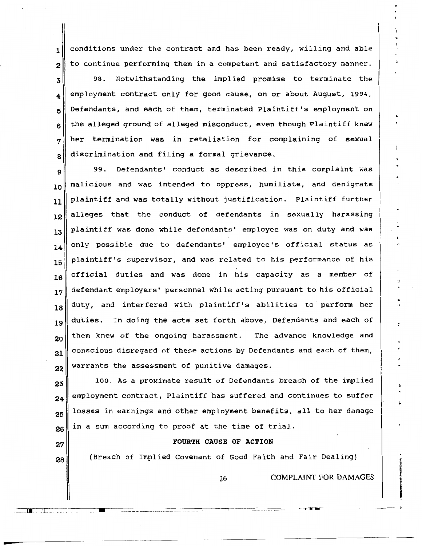$\mathbf{1}$  conditions under the contract and has been ready, willing and able  $2\parallel$  to continue performing them in a competent and satisfactory manner.

 98. Notwithstanding the implied promise to terminate the  $_4\Vert$  employment contract only for good cause, on or about August, 1994, Defendants, and each of them, terminated Plaintiff's employment on the alleged ground of alleged misconduct, even though Plaintiff knew her termination was in retaliation for complaining of sexual  $\left\| \right\|$  discrimination and filing a formal grievance.

99. Defendants' conduct as described in this complaint was  $_{10}$  malicious and was intended to oppress, humiliate, and denigrate 11 | plaintiff and was totally without justification. Plaintiff further 12<sup>did</sup>alleges that the conduct of defendants in sexually harassing  $13$  plaintiff was done while defendants' employee was on duty and was  $\|14\|$  only possible due to defendants' employee's official status as  $\begin{array}{c|c|c|c|c|c} & \text{plaintext:} & \text{matrix} & \text{matrix} & \text{matrix} & \text{matrix} & \text{matrix} \\ \text{matrix:} & \text{matrix:} & \text{matrix:} & \text{matrix:} & \text{matrix:} & \text{matrix:} & \text{matrix:} & \text{matrix:} & \text{matrix:} & \text{matrix:} & \text{matrix:} & \text{matrix:} & \text{matrix:} & \text{matrix:} & \text{matrix:} & \text{matrix:} & \text{matrix:} & \text{matrix:} & \text{matrix:} & \text{matrix:} & \text{matrix:} & \text{matrix:} & \text{matrix:} & \text{matrix$  $16$  official duties and was done in his capacity as a member of  $17$  defendant employers' personnel while acting pursuant to his official  $\begin{array}{c} 18 \end{array}$  duty, and interfered with plaintiff's abilities to perform her 19 20 21 22 duties. In doing the acts set forth above, Defendants and each of them knew of the ongoing harassment. The advance knowledge and conscious disregard of these actions by Defendants and each of them, warrants the assessment of punitive damages.

23 24 25 26 100. As a proximate result of Defendants breach of the implied employment contract, Plaintiff has suffered and continues to suffer losses in earnings and other employment benefits, all to her damage in a sum according to proof at the time of trial.

### FOURTH CAUSE OF ACTION

(Breach of Implied covenant of Good Faith and Fair Dealing)

----- --------r-- ----- I M W ---

 $\overline{\mathbf{a}}$  and  $\overline{\mathbf{a}}$ 

27

28

26 COMPLAINT FOR DAMAGES

•J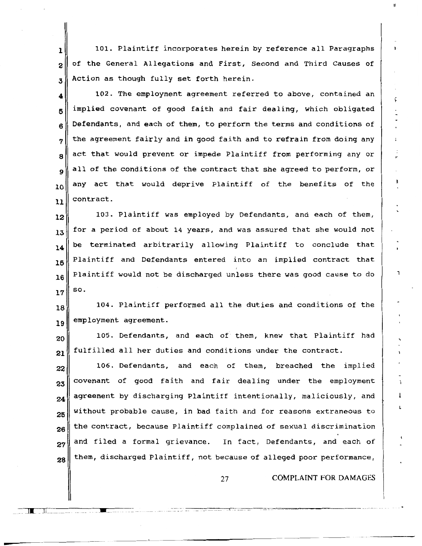1 2 3 101. Plaintiff incorporates herein by reference all Paragraphs of the General Allegations and First, Second and Third Causes of Action as though fully set forth herein.

4 5 6 7 8  $\mathbf Q$ 10 11 102. The employment agreement referred to above, contained an implied covenant of good faith and fair dealing, which obligated Defendants, and each of them, to perform the terms and conditions of the agreement fairly and in good faith and to refrain from doing any act that would prevent or impede Plaintiff from performing any or all of the conditions of the contract that she agreed to perform, or any act that would deprive Plaintiff of the benefits of the contract.

12 13 14 15 16 17 103. Plaintiff was employed by Defendants, and each of them, for a period of about 14 years, and was assured that she would not be terminated arbitrarily allowing Plaintiff to conclude that Plaintiff and Defendants entered into an implied contract that Plaintiff would not be discharged unless there was good cause to do so.

18 19 104. Plaintiff performed all the duties and conditions of the employment agreement.

20 21 105. Defendants, and each of them, knew that Plaintiff had fulfilled all her duties and conditions under the contract.

22 23 24 25 26 27 28 106. Defendants, and each of them, breached the implied covenant of good faith and fair dealing under the employment agreement by discharging Plaintiff intentionally, maliciously, and without probable cause, in bad faith and for reasons extraneous to the contract, because Plaintiff complained of sexual discrimination and filed a formal grievance. In fact, Defendants, and each of them, discharged Plaintiff, not because of alleged poor performance,

u "" Jk Jl. -------- HH n •

----

27 COMPLAINT FOR DAMAGES

F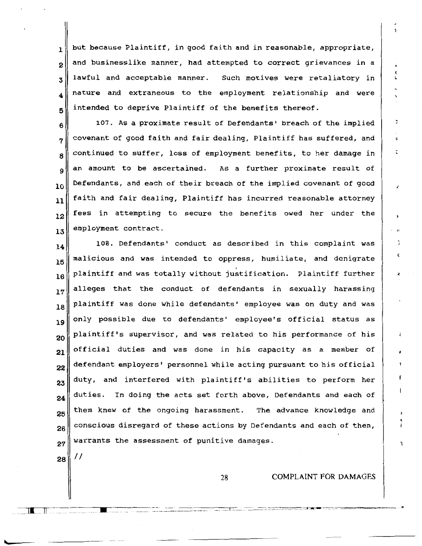$_1\Vert$  but because Plaintiff, in good faith and in reasonable, appropriate,  $2\parallel$  and businesslike manner, had attempted to correct grievances in a  $3$  lawful and acceptable manner. Such motives were retaliatory in  $_4\parallel$  nature and extraneous to the employment relationship and were  $\mathbf{5}$  intended to deprive Plaintiff of the benefits thereof.

6 7 8  $\circ$ 10 11 12 13 107. As a proximate result of Defendants' breach of the implied covenant of good faith and fair dealing, Plaintiff has suffered, and continued to suffer, loss of employment benefits, to her damage in an amount to be ascertained. As a further proximate result of Defendants, and each of their breach of the implied covenant of good faith and fair dealing, Plaintiff has incurred reasonable attorney fees in attempting to secure the benefits owed her under the employment contract.

14 15 16 17 18 19 20 21 22 23 24 25 26 27 108. Defendants' conduct as described in this complaint was malicious and was intended to oppress, humiliate, and denigrate ' plaintiff and was totally without justification. Plaintiff further alleges that the conduct of defendants in sexually harassing plaintiff was done while defendants' employee was on duty and was only possible due to defendants' employee's official status as plaintiff's supervisor, and was related to his performance of his official duties and was done in his capacity as a member of defendant employers' personnel while acting pursuant to his official duty, and interfered with plaintiff's abilities to perform her duties. In doing the acts set forth above, Defendants and each of them knew of the ongoing harassment. The advance knowledge and conscious disregard of these actions by Defendants and each of them, warrants the assessment of punitive damages.

28

II

n=1 JI n II

-

28 COMPLAINT FOR DAMAGES

X Ĺ

---- -~-=------------------------------------\_-\_\_\_ --, \_\_ -\_\_\_ \_-\_\_\_\_\_\_\_ -::::\_-\_ \_-\_\_ =·:.:\_-:::-:::-::c-:~:c:~\_\_\_\_,\_-\_-,-,-\_-\_-~~ ~--=--=---=-~----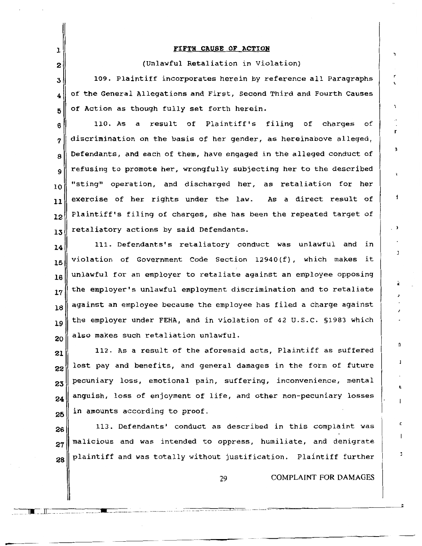## 1 FIFTH CAUSE OF ACTION 2 (Unlawful Retaliation in Violation)  $3$  109. Plaintiff incorporates herein by reference all Paragraphs  $_4$  of the General Allegations and First, Second Third and Fourth Causes  $5$  of Action as though fully set forth herein.  $6$  110. As a result of Plaintiff's filing of charges of  $7 \parallel$  discrimination on the basis of her gender, as hereinabove alleged,  $8\parallel$  Defendants, and each of them, have engaged in the alleged conduct of 9 10 11 12 13 14 15 16 17 18 19 20 21 22 23 24 25 26 refusing to promote her, wrongfully subjecting her to the described "sting" operation, and discharged her, as retaliation for her exercise of her rights under the law. As a direct result of Plaintiff's filing of charges, she has been the repeated target of retaliatory actions by said Defendants. 111. Defendants's retaliatory conduct was unlawful and in violation of Government Code Section 12940 (f), which makes it unlawful for an employer to retaliate against an employee opposing the employer's unlawful employment discrimination and to retaliate against an employee because the employee has filed a charge against the employer under FEHA, and in violation of 42 u.s.c. §1983 which also makes such retaliation unlawful. 112. As a result of the aforesaid acts, Plaintiff as suffered lost pay and benefits, and general damages in the form of future pecuniary loss, emotional pain, suffering, inconvenience, mental anguish, loss of enjoyment of life, and other non-pecuniary losses in amounts according to proof. 113. Defendants' conduct as described in this complaint was

27 28 malicious and was intended to oppress, humiliate, and denigrate plaintiff and was totally without justification. Plaintiff further

29 COMPLAINT FOR DAMAGES

................................ , ,.\_,.,..,.,,,., •mu"""""hn"

-------:-:===····· .................. =--·~~-~-----------------

 $\epsilon$ 

r

f

ŋ,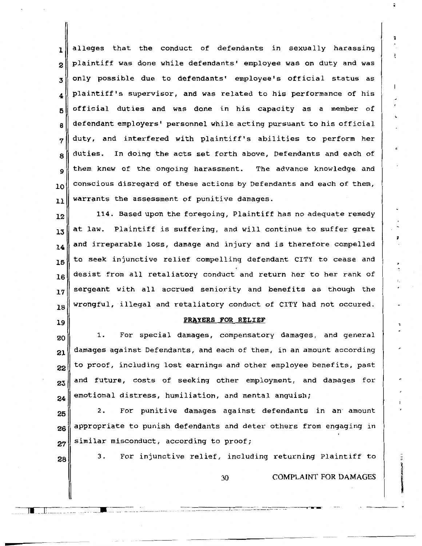alleges that the conduct of defendants in sexually harassing  $2\parallel$  plaintiff was done while defendants' employee was on duty and was only possible due to defendants' employee's official status as  $_4\parallel$  plaintiff's supervisor, and was related to his performance of his official duties and was done in his capacity as a member of defendant employers' personnel while acting pursuant to his official  $7 \parallel$  duty, and interfered with plaintiff's abilities to perform her duties. In doing the acts set forth above, Defendants and each of them knew of the ongoing harassment. The advance knowledge and  $_{10}$  conscious disregard of these actions by Defendants and each of them, warrants the assessment of punitive damages.

 $\Vert 12\Vert$  114. Based upon the foregoing, Plaintiff has no adequate remedy 13 14 15 16 17 18 at law. Plaintiff is suffering, and will continue to suffer great and irreparable loss, damage and injury and is therefore compelled to seek injunctive relief compelling defendant CITY to cease and desist from all retaliatory conduct and return her to her rank of sergeant with all accrued seniority and benefits as though the wrongful, illegal and retaliatory conduct of CITY had not occured.

#### 19

#### PRAYERS FOR RELIEF

20 21 22 1. For special damages, compensatory damages, and general damages against Defendants, and each of them, in an amount according to proof, including lost earnings and other employee benefits, past  $23$  and future, costs of seeking other employment, and damages for  $24$  emotional distress, humiliation, and mental anguish;

 $25$  2. For punitive damages against defendants in an amount  $26$  appropriate to punish defendants and deter others from engaging in  $27$  similar misconduct, according to proof;

<u>| I</u>

 $28$  3. For injunctive relief, including returning Plaintiff to

30 COMPLAINT FOR DAMAGES